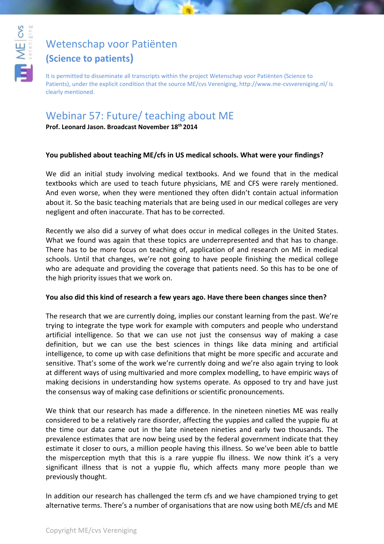

# [Wetenschap voor Patiënten](http://www.youtube.com/user/WetenschapvMEcvsVer)

### **(Science to patients)**

It is permitted to disseminate all transcripts within the project Wetenschap voor Patiënten (Science to Patients), under the explicit condition that the source ME/cvs Vereniging, http://www.me-cvsvereniging.nl/ is clearly mentioned.

## Webinar 57: Future/ teaching about ME

**Prof. Leonard Jason. Broadcast November 18th 2014**

#### **You published about teaching ME/cfs in US medical schools. What were your findings?**

We did an initial study involving medical textbooks. And we found that in the medical textbooks which are used to teach future physicians, ME and CFS were rarely mentioned. And even worse, when they were mentioned they often didn't contain actual information about it. So the basic teaching materials that are being used in our medical colleges are very negligent and often inaccurate. That has to be corrected.

Recently we also did a survey of what does occur in medical colleges in the United States. What we found was again that these topics are underrepresented and that has to change. There has to be more focus on teaching of, application of and research on ME in medical schools. Until that changes, we're not going to have people finishing the medical college who are adequate and providing the coverage that patients need. So this has to be one of the high priority issues that we work on.

#### **You also did this kind of research a few years ago. Have there been changes since then?**

The research that we are currently doing, implies our constant learning from the past. We're trying to integrate the type work for example with computers and people who understand artificial intelligence. So that we can use not just the consensus way of making a case definition, but we can use the best sciences in things like data mining and artificial intelligence, to come up with case definitions that might be more specific and accurate and sensitive. That's some of the work we're currently doing and we're also again trying to look at different ways of using multivaried and more complex modelling, to have empiric ways of making decisions in understanding how systems operate. As opposed to try and have just the consensus way of making case definitions or scientific pronouncements.

We think that our research has made a difference. In the nineteen nineties ME was really considered to be a relatively rare disorder, affecting the yuppies and called the yuppie flu at the time our data came out in the late nineteen nineties and early two thousands. The prevalence estimates that are now being used by the federal government indicate that they estimate it closer to ours, a million people having this illness. So we've been able to battle the misperception myth that this is a rare yuppie flu illness. We now think it's a very significant illness that is not a yuppie flu, which affects many more people than we previously thought.

In addition our research has challenged the term cfs and we have championed trying to get alternative terms. There's a number of organisations that are now using both ME/cfs and ME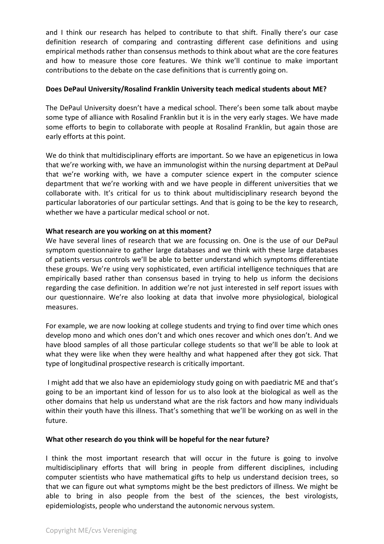and I think our research has helped to contribute to that shift. Finally there's our case definition research of comparing and contrasting different case definitions and using empirical methods rather than consensus methods to think about what are the core features and how to measure those core features. We think we'll continue to make important contributions to the debate on the case definitions that is currently going on.

#### **Does DePaul University/Rosalind Franklin University teach medical students about ME?**

The DePaul University doesn't have a medical school. There's been some talk about maybe some type of alliance with Rosalind Franklin but it is in the very early stages. We have made some efforts to begin to collaborate with people at Rosalind Franklin, but again those are early efforts at this point.

We do think that multidisciplinary efforts are important. So we have an epigeneticus in Iowa that we're working with, we have an immunologist within the nursing department at DePaul that we're working with, we have a computer science expert in the computer science department that we're working with and we have people in different universities that we collaborate with. It's critical for us to think about multidisciplinary research beyond the particular laboratories of our particular settings. And that is going to be the key to research, whether we have a particular medical school or not.

#### **What research are you working on at this moment?**

We have several lines of research that we are focussing on. One is the use of our DePaul symptom questionnaire to gather large databases and we think with these large databases of patients versus controls we'll be able to better understand which symptoms differentiate these groups. We're using very sophisticated, even artificial intelligence techniques that are empirically based rather than consensus based in trying to help us inform the decisions regarding the case definition. In addition we're not just interested in self report issues with our questionnaire. We're also looking at data that involve more physiological, biological measures.

For example, we are now looking at college students and trying to find over time which ones develop mono and which ones don't and which ones recover and which ones don't. And we have blood samples of all those particular college students so that we'll be able to look at what they were like when they were healthy and what happened after they got sick. That type of longitudinal prospective research is critically important.

I might add that we also have an epidemiology study going on with paediatric ME and that's going to be an important kind of lesson for us to also look at the biological as well as the other domains that help us understand what are the risk factors and how many individuals within their youth have this illness. That's something that we'll be working on as well in the future.

#### **What other research do you think will be hopeful for the near future?**

I think the most important research that will occur in the future is going to involve multidisciplinary efforts that will bring in people from different disciplines, including computer scientists who have mathematical gifts to help us understand decision trees, so that we can figure out what symptoms might be the best predictors of illness. We might be able to bring in also people from the best of the sciences, the best virologists, epidemiologists, people who understand the autonomic nervous system.